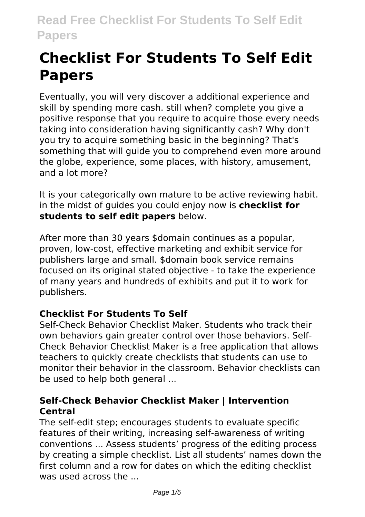# **Checklist For Students To Self Edit Papers**

Eventually, you will very discover a additional experience and skill by spending more cash. still when? complete you give a positive response that you require to acquire those every needs taking into consideration having significantly cash? Why don't you try to acquire something basic in the beginning? That's something that will guide you to comprehend even more around the globe, experience, some places, with history, amusement, and a lot more?

It is your categorically own mature to be active reviewing habit. in the midst of guides you could enjoy now is **checklist for students to self edit papers** below.

After more than 30 years \$domain continues as a popular, proven, low-cost, effective marketing and exhibit service for publishers large and small. \$domain book service remains focused on its original stated objective - to take the experience of many years and hundreds of exhibits and put it to work for publishers.

# **Checklist For Students To Self**

Self-Check Behavior Checklist Maker. Students who track their own behaviors gain greater control over those behaviors. Self-Check Behavior Checklist Maker is a free application that allows teachers to quickly create checklists that students can use to monitor their behavior in the classroom. Behavior checklists can be used to help both general ...

# **Self-Check Behavior Checklist Maker | Intervention Central**

The self-edit step; encourages students to evaluate specific features of their writing, increasing self-awareness of writing conventions ... Assess students' progress of the editing process by creating a simple checklist. List all students' names down the first column and a row for dates on which the editing checklist was used across the ...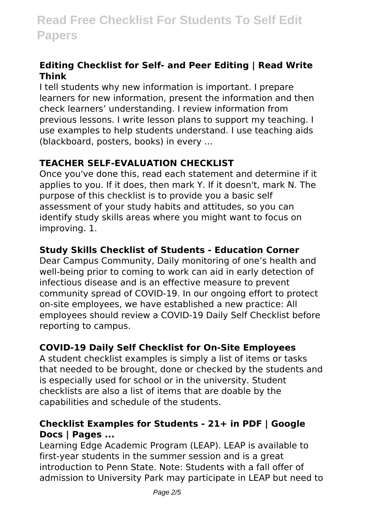#### **Editing Checklist for Self- and Peer Editing | Read Write Think**

I tell students why new information is important. I prepare learners for new information, present the information and then check learners' understanding. I review information from previous lessons. I write lesson plans to support my teaching. I use examples to help students understand. I use teaching aids (blackboard, posters, books) in every ...

# **TEACHER SELF-EVALUATION CHECKLIST**

Once you've done this, read each statement and determine if it applies to you. If it does, then mark Y. If it doesn't, mark N. The purpose of this checklist is to provide you a basic self assessment of your study habits and attitudes, so you can identify study skills areas where you might want to focus on improving. 1.

# **Study Skills Checklist of Students - Education Corner**

Dear Campus Community, Daily monitoring of one's health and well-being prior to coming to work can aid in early detection of infectious disease and is an effective measure to prevent community spread of COVID-19. In our ongoing effort to protect on-site employees, we have established a new practice: All employees should review a COVID-19 Daily Self Checklist before reporting to campus.

# **COVID-19 Daily Self Checklist for On-Site Employees**

A student checklist examples is simply a list of items or tasks that needed to be brought, done or checked by the students and is especially used for school or in the university. Student checklists are also a list of items that are doable by the capabilities and schedule of the students.

# **Checklist Examples for Students - 21+ in PDF | Google Docs | Pages ...**

Learning Edge Academic Program (LEAP). LEAP is available to first-year students in the summer session and is a great introduction to Penn State. Note: Students with a fall offer of admission to University Park may participate in LEAP but need to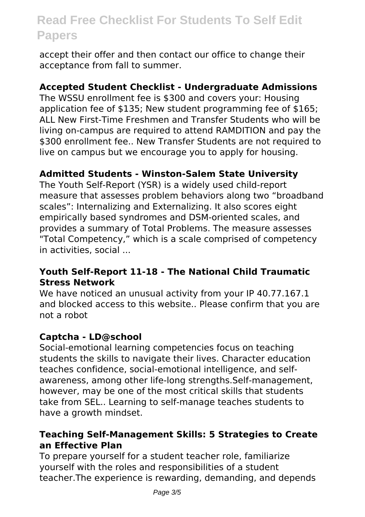accept their offer and then contact our office to change their acceptance from fall to summer.

#### **Accepted Student Checklist - Undergraduate Admissions**

The WSSU enrollment fee is \$300 and covers your: Housing application fee of \$135; New student programming fee of \$165; ALL New First-Time Freshmen and Transfer Students who will be living on-campus are required to attend RAMDITION and pay the \$300 enrollment fee.. New Transfer Students are not required to live on campus but we encourage you to apply for housing.

#### **Admitted Students - Winston-Salem State University**

The Youth Self-Report (YSR) is a widely used child-report measure that assesses problem behaviors along two "broadband scales": Internalizing and Externalizing. It also scores eight empirically based syndromes and DSM-oriented scales, and provides a summary of Total Problems. The measure assesses "Total Competency," which is a scale comprised of competency in activities, social ...

#### **Youth Self-Report 11-18 - The National Child Traumatic Stress Network**

We have noticed an unusual activity from your IP 40.77.167.1 and blocked access to this website.. Please confirm that you are not a robot

#### **Captcha - LD@school**

Social-emotional learning competencies focus on teaching students the skills to navigate their lives. Character education teaches confidence, social-emotional intelligence, and selfawareness, among other life-long strengths.Self-management, however, may be one of the most critical skills that students take from SEL.. Learning to self-manage teaches students to have a growth mindset.

#### **Teaching Self-Management Skills: 5 Strategies to Create an Effective Plan**

To prepare yourself for a student teacher role, familiarize yourself with the roles and responsibilities of a student teacher.The experience is rewarding, demanding, and depends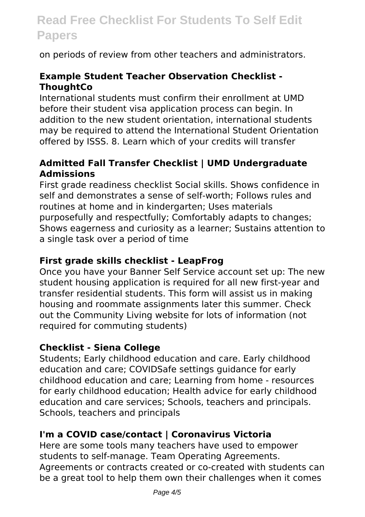on periods of review from other teachers and administrators.

### **Example Student Teacher Observation Checklist - ThoughtCo**

International students must confirm their enrollment at UMD before their student visa application process can begin. In addition to the new student orientation, international students may be required to attend the International Student Orientation offered by ISSS. 8. Learn which of your credits will transfer

#### **Admitted Fall Transfer Checklist | UMD Undergraduate Admissions**

First grade readiness checklist Social skills. Shows confidence in self and demonstrates a sense of self-worth; Follows rules and routines at home and in kindergarten; Uses materials purposefully and respectfully; Comfortably adapts to changes; Shows eagerness and curiosity as a learner; Sustains attention to a single task over a period of time

#### **First grade skills checklist - LeapFrog**

Once you have your Banner Self Service account set up: The new student housing application is required for all new first-year and transfer residential students. This form will assist us in making housing and roommate assignments later this summer. Check out the Community Living website for lots of information (not required for commuting students)

#### **Checklist - Siena College**

Students; Early childhood education and care. Early childhood education and care; COVIDSafe settings guidance for early childhood education and care; Learning from home - resources for early childhood education; Health advice for early childhood education and care services; Schools, teachers and principals. Schools, teachers and principals

#### **I'm a COVID case/contact | Coronavirus Victoria**

Here are some tools many teachers have used to empower students to self-manage. Team Operating Agreements. Agreements or contracts created or co-created with students can be a great tool to help them own their challenges when it comes